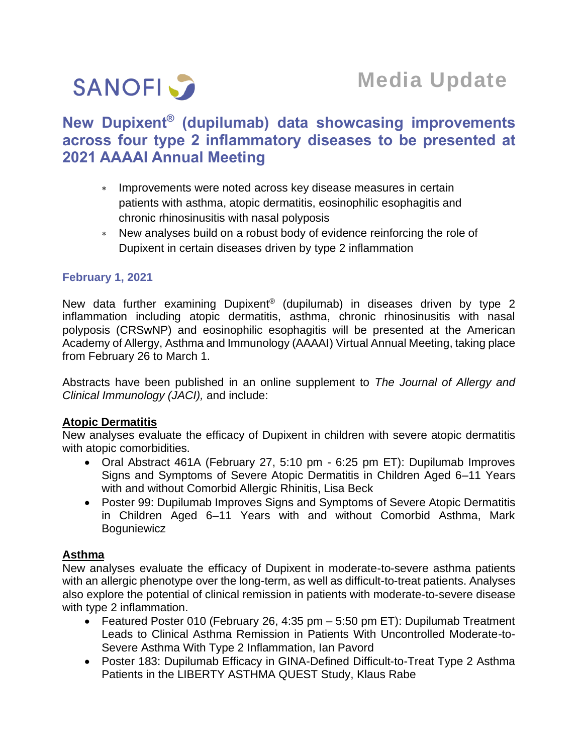

# **Media Update**

## **New Dupixent® (dupilumab) data showcasing improvements across four type 2 inflammatory diseases to be presented at 2021 AAAAI Annual Meeting**

- Improvements were noted across key disease measures in certain patients with asthma, atopic dermatitis, eosinophilic esophagitis and chronic rhinosinusitis with nasal polyposis
- New analyses build on a robust body of evidence reinforcing the role of Dupixent in certain diseases driven by type 2 inflammation

## **February 1, 2021**

New data further examining Dupixent® (dupilumab) in diseases driven by type 2 inflammation including atopic dermatitis, asthma, chronic rhinosinusitis with nasal polyposis (CRSwNP) and eosinophilic esophagitis will be presented at the American Academy of Allergy, Asthma and Immunology (AAAAI) Virtual Annual Meeting, taking place from February 26 to March 1.

Abstracts have been published in an online supplement to *The Journal of Allergy and Clinical Immunology (JACI),* and include:

#### **Atopic Dermatitis**

New analyses evaluate the efficacy of Dupixent in children with severe atopic dermatitis with atopic comorbidities.

- Oral Abstract 461A (February 27, 5:10 pm 6:25 pm ET): Dupilumab Improves Signs and Symptoms of Severe Atopic Dermatitis in Children Aged 6–11 Years with and without Comorbid Allergic Rhinitis, Lisa Beck
- Poster 99: Dupilumab Improves Signs and Symptoms of Severe Atopic Dermatitis in Children Aged 6–11 Years with and without Comorbid Asthma, Mark **Boguniewicz**

## **Asthma**

New analyses evaluate the efficacy of Dupixent in moderate-to-severe asthma patients with an allergic phenotype over the long-term, as well as difficult-to-treat patients. Analyses also explore the potential of clinical remission in patients with moderate-to-severe disease with type 2 inflammation.

- Featured Poster 010 (February 26, 4:35 pm 5:50 pm ET): Dupilumab Treatment Leads to Clinical Asthma Remission in Patients With Uncontrolled Moderate-to-Severe Asthma With Type 2 Inflammation, Ian Pavord
- Poster 183: Dupilumab Efficacy in GINA-Defined Difficult-to-Treat Type 2 Asthma Patients in the LIBERTY ASTHMA QUEST Study, Klaus Rabe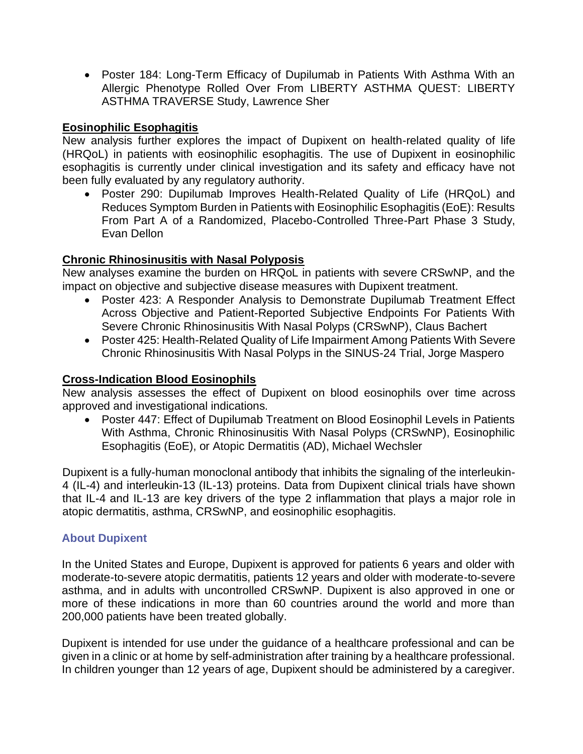• Poster 184: Long-Term Efficacy of Dupilumab in Patients With Asthma With an Allergic Phenotype Rolled Over From LIBERTY ASTHMA QUEST: LIBERTY ASTHMA TRAVERSE Study, Lawrence Sher

## **Eosinophilic Esophagitis**

New analysis further explores the impact of Dupixent on health-related quality of life (HRQoL) in patients with eosinophilic esophagitis. The use of Dupixent in eosinophilic esophagitis is currently under clinical investigation and its safety and efficacy have not been fully evaluated by any regulatory authority.

• Poster 290: Dupilumab Improves Health-Related Quality of Life (HRQoL) and Reduces Symptom Burden in Patients with Eosinophilic Esophagitis (EoE): Results From Part A of a Randomized, Placebo-Controlled Three-Part Phase 3 Study, Evan Dellon

## **Chronic Rhinosinusitis with Nasal Polyposis**

New analyses examine the burden on HRQoL in patients with severe CRSwNP, and the impact on objective and subjective disease measures with Dupixent treatment.

- Poster 423: A Responder Analysis to Demonstrate Dupilumab Treatment Effect Across Objective and Patient-Reported Subjective Endpoints For Patients With Severe Chronic Rhinosinusitis With Nasal Polyps (CRSwNP), Claus Bachert
- Poster 425: Health-Related Quality of Life Impairment Among Patients With Severe Chronic Rhinosinusitis With Nasal Polyps in the SINUS-24 Trial, Jorge Maspero

## **Cross-Indication Blood Eosinophils**

New analysis assesses the effect of Dupixent on blood eosinophils over time across approved and investigational indications.

• Poster 447: Effect of Dupilumab Treatment on Blood Eosinophil Levels in Patients With Asthma, Chronic Rhinosinusitis With Nasal Polyps (CRSwNP), Eosinophilic Esophagitis (EoE), or Atopic Dermatitis (AD), Michael Wechsler

Dupixent is a fully-human monoclonal antibody that inhibits the signaling of the interleukin-4 (IL-4) and interleukin-13 (IL-13) proteins. Data from Dupixent clinical trials have shown that IL-4 and IL-13 are key drivers of the type 2 inflammation that plays a major role in atopic dermatitis, asthma, CRSwNP, and eosinophilic esophagitis.

## **About Dupixent**

In the United States and Europe, Dupixent is approved for patients 6 years and older with moderate-to-severe atopic dermatitis, patients 12 years and older with moderate-to-severe asthma, and in adults with uncontrolled CRSwNP. Dupixent is also approved in one or more of these indications in more than 60 countries around the world and more than 200,000 patients have been treated globally.

Dupixent is intended for use under the guidance of a healthcare professional and can be given in a clinic or at home by self-administration after training by a healthcare professional. In children younger than 12 years of age, Dupixent should be administered by a caregiver.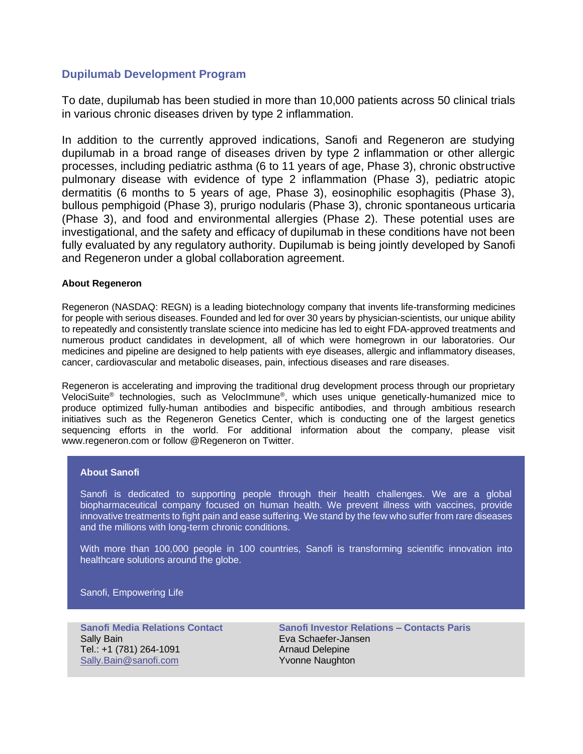### **Dupilumab Development Program**

To date, dupilumab has been studied in more than 10,000 patients across 50 clinical trials in various chronic diseases driven by type 2 inflammation.

In addition to the currently approved indications, Sanofi and Regeneron are studying dupilumab in a broad range of diseases driven by type 2 inflammation or other allergic processes, including pediatric asthma (6 to 11 years of age, Phase 3), chronic obstructive pulmonary disease with evidence of type 2 inflammation (Phase 3), pediatric atopic dermatitis (6 months to 5 years of age, Phase 3), eosinophilic esophagitis (Phase 3), bullous pemphigoid (Phase 3), prurigo nodularis (Phase 3), chronic spontaneous urticaria (Phase 3), and food and environmental allergies (Phase 2). These potential uses are investigational, and the safety and efficacy of dupilumab in these conditions have not been fully evaluated by any regulatory authority. Dupilumab is being jointly developed by Sanofi and Regeneron under a global collaboration agreement.

#### **About Regeneron**

Regeneron (NASDAQ: REGN) is a leading biotechnology company that invents life-transforming medicines for people with serious diseases. Founded and led for over 30 years by physician-scientists, our unique ability to repeatedly and consistently translate science into medicine has led to eight FDA-approved treatments and numerous product candidates in development, all of which were homegrown in our laboratories. Our medicines and pipeline are designed to help patients with eye diseases, allergic and inflammatory diseases, cancer, cardiovascular and metabolic diseases, pain, infectious diseases and rare diseases.

Regeneron is accelerating and improving the traditional drug development process through our proprietary VelociSuite<sup>®</sup> technologies, such as VelocImmune<sup>®</sup>, which uses unique genetically-humanized mice to produce optimized fully-human antibodies and bispecific antibodies, and through ambitious research initiatives such as the Regeneron Genetics Center, which is conducting one of the largest genetics sequencing efforts in the world. For additional information about the company, please visit www.regeneron.com or follow @Regeneron on Twitter.

#### **About Sanofi**

Sanofi is dedicated to supporting people through their health challenges. We are a global biopharmaceutical company focused on human health. We prevent illness with vaccines, provide innovative treatments to fight pain and ease suffering. We stand by the few who suffer from rare diseases and the millions with long-term chronic conditions.

With more than 100,000 people in 100 countries, Sanofi is transforming scientific innovation into healthcare solutions around the globe.

Sanofi, Empowering Life

**Sanofi Media Relations Contact**  Sally Bain Tel.: +1 (781) 264-1091 [Sally.Bain@sanofi.com](mailto:Sally.Bain@sanofi.com)

**Sanofi Investor Relations – Contacts Paris** Eva Schaefer-Jansen Arnaud Delepine Yvonne Naughton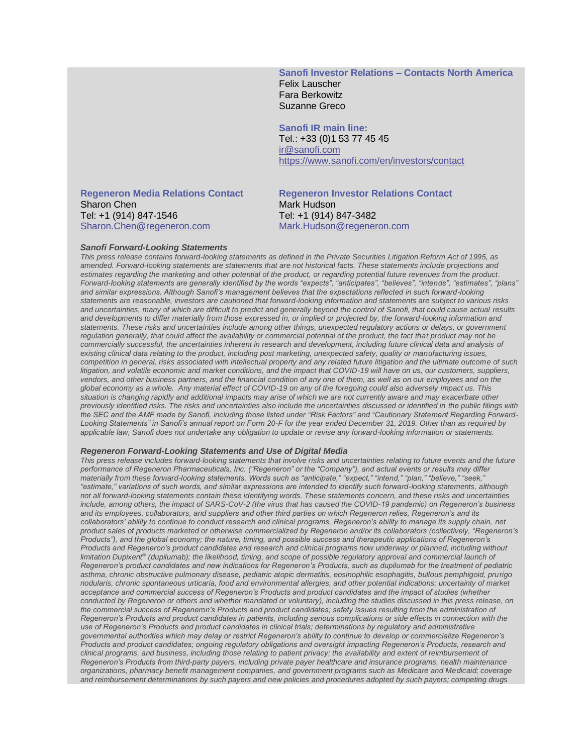#### **Sanofi Investor Relations – Contacts North America** Felix Lauscher Fara Berkowitz Suzanne Greco

**Sanofi IR main line:** Tel.: +33 (0)1 53 77 45 45 [ir@sanofi.com](mailto:ir@sanofi.com) https://www.sanofi.com/en/investors/contact

#### **Regeneron Media Relations Contact**  Sharon Chen Tel: +1 (914) 847-1546 [Sharon.Chen@regeneron.com](mailto:Hannah.Kwagh@regeneron.com)

#### **Regeneron Investor Relations Contact**  Mark Hudson Tel: +1 (914) 847-3482 [Mark.Hudson@regeneron.com](mailto:Mark.Hudson@regeneron.com)

#### *Sanofi Forward-Looking Statements*

*This press release contains forward-looking statements as defined in the Private Securities Litigation Reform Act of 1995, as amended. Forward-looking statements are statements that are not historical facts. These statements include projections and estimates regarding the marketing and other potential of the product, or regarding potential future revenues from the product. Forward-looking statements are generally identified by the words "expects", "anticipates", "believes", "intends", "estimates", "plans" and similar expressions. Although Sanofi's management believes that the expectations reflected in such forward-looking statements are reasonable, investors are cautioned that forward-looking information and statements are subject to various risks and uncertainties, many of which are difficult to predict and generally beyond the control of Sanofi, that could cause actual results and developments to differ materially from those expressed in, or implied or projected by, the forward-looking information and statements. These risks and uncertainties include among other things, unexpected regulatory actions or delays, or government*  regulation generally, that could affect the availability or commercial potential of the product, the fact that product may not be commercially successful, the uncertainties inherent in research and development, including future clinical data and analysis of *existing clinical data relating to the product, including post marketing, unexpected safety, quality or manufacturing issues, competition in general, risks associated with intellectual property and any related future litigation and the ultimate outcome of such litigation, and volatile economic and market conditions, and the impact that COVID-19 will have on us, our customers, suppliers, vendors, and other business partners, and the financial condition of any one of them, as well as on our employees and on the global economy as a whole. Any material effect of COVID-19 on any of the foregoing could also adversely impact us. This*  situation is changing rapidly and additional impacts may arise of which we are not currently aware and may exacerbate other *previously identified risks. The risks and uncertainties also include the uncertainties discussed or identified in the public filings with the SEC and the AMF made by Sanofi, including those listed under "Risk Factors" and "Cautionary Statement Regarding Forward-Looking Statements" in Sanofi's annual report on Form 20-F for the year ended December 31, 2019. Other than as required by applicable law, Sanofi does not undertake any obligation to update or revise any forward-looking information or statements.*

#### *Regeneron Forward-Looking Statements and Use of Digital Media*

*This press release includes forward-looking statements that involve risks and uncertainties relating to future events and the future performance of Regeneron Pharmaceuticals, Inc. ("Regeneron" or the "Company"), and actual events or results may differ materially from these forward-looking statements. Words such as "anticipate," "expect," "intend," "plan," "believe," "seek," "estimate," variations of such words, and similar expressions are intended to identify such forward-looking statements, although not all forward-looking statements contain these identifying words. These statements concern, and these risks and uncertainties include, among others, the impact of SARS-CoV-2 (the virus that has caused the COVID-19 pandemic) on Regeneron's business and its employees, collaborators, and suppliers and other third parties on which Regeneron relies, Regeneron's and its collaborators' ability to continue to conduct research and clinical programs, Regeneron's ability to manage its supply chain, net product sales of products marketed or otherwise commercialized by Regeneron and/or its collaborators (collectively, "Regeneron's Products"), and the global economy; the nature, timing, and possible success and therapeutic applications of Regeneron's Products and Regeneron's product candidates and research and clinical programs now underway or planned, including without limitation Dupixent® (dupilumab); the likelihood, timing, and scope of possible regulatory approval and commercial launch of Regeneron's product candidates and new indications for Regeneron's Products, such as dupilumab for the treatment of pediatric asthma, chronic obstructive pulmonary disease, pediatric atopic dermatitis, eosinophilic esophagitis, bullous pemphigoid, prurigo nodularis, chronic spontaneous urticaria, food and environmental allergies, and other potential indications; uncertainty of market acceptance and commercial success of Regeneron's Products and product candidates and the impact of studies (whether conducted by Regeneron or others and whether mandated or voluntary), including the studies discussed in this press release, on the commercial success of Regeneron's Products and product candidates; safety issues resulting from the administration of Regeneron's Products and product candidates in patients, including serious complications or side effects in connection with the use of Regeneron's Products and product candidates in clinical trials; determinations by regulatory and administrative governmental authorities which may delay or restrict Regeneron's ability to continue to develop or commercialize Regeneron's Products and product candidates; ongoing regulatory obligations and oversight impacting Regeneron's Products, research and*  clinical programs, and business, including those relating to patient privacy; the availability and extent of reimbursement of *Regeneron's Products from third-party payers, including private payer healthcare and insurance programs, health maintenance organizations, pharmacy benefit management companies, and government programs such as Medicare and Medicaid; coverage and reimbursement determinations by such payers and new policies and procedures adopted by such payers; competing drugs*